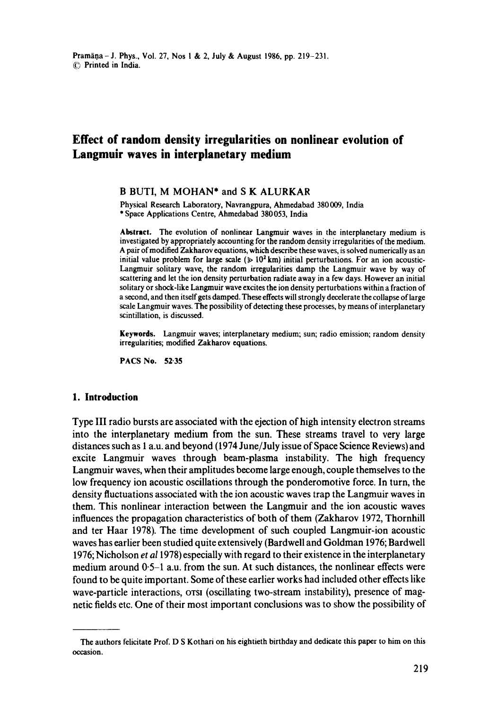# **Effect of random density irregularities on nonlinear evolution of Langmuir waves in interplanetary medium**

# B BUTI, M MOHAN\* and S K ALURKAR

Physical Research Laboratory, Navrangpura, Ahmedabad 380009, India \* Space Applications Centre, Ahmedabad 380 053, India

**Abstract.** The evolution of nonlinear Langmuir waves in the interplanetary medium is investigated by appropriately accounting for the random density irregularities of the medium. A pair of modified Zakharov equations, which describe these waves, is solved numerically as an initial value problem for large scale ( $\gg 10^2$  km) initial perturbations. For an ion acoustic-Langmuir solitary wave, the random irregularities damp the Langmuir wave by way of scattering and let the ion density perturbation radiate away in a few days. However an initial solitary or shock-like Langmuir wave excites the ion density perturbations within a fraction of a second, and then itself gets damped. These effects will strongly decelerate the collapse of large scale Langmuir waves. The possibility of detecting these processes, by means of interplanetary scintillation, is discussed.

**Keywords.** Langmuir waves; interplanetary medium; sun; radio emission; random density irregularities; modified Zakharov equations.

PACS No. 52'35

#### **1. Introduction**

Type III radio bursts are associated with the ejection of high intensity electron streams into the interplanetary medium from the sun. These streams travel to very large distances such as 1 a.u. and beyond (1974 June/July issue of Space Science Reviews) and excite Langmuir waves through beam-plasma instability. The high frequency Langmuir waves, when their amplitudes become large enough, couple themselves to the low frequency ion acoustic oscillations through the ponderomotive force. In turn, the density fluctuations associated with the ion acoustic waves trap the Langrnuir waves in them. This nonlinear interaction between the Langmuir and the ion acoustic waves influences the propagation characteristics of both of them (Zakharov 1972, Thornhill and ter Haar 1978). The time development of such coupled Langmuir-ion acoustic waves has earlier been studied quite extensively (Bardwell and Goldman 1976; Bardwell 1976; Nicholson *et a11978)* especially with regard to their existence in the interplanetary medium around 0.5-1 a.u. from the sun. At such distances, the nonlinear effects were found to be quite important. Some of these earlier works had included other effects like wave-particle interactions, orsi (oscillating two-stream instability), presence of magnetic fields etc. One of their most important conclusions was to show the possibility of

**The** authors felicitate Prof. D S Kothari on his eightieth birthday and dedicate this paper to him on this occasion.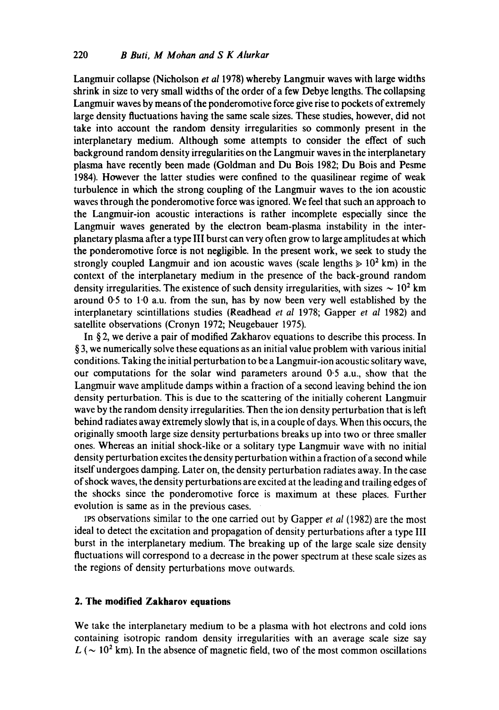Langmuir collapse (Nicholson *et al* 1978) whereby Langmuir waves with large widths shrink in size to very small widths of the order of a few Debye lengths. The collapsing Langmuir waves by means of the ponderomotive force give rise to pockets of extremely large density fluctuations having the same scale sizes. These studies, however, did not take into account the random density irregularities so commonly present in the interplanetary medium. Although some attempts to consider the effect of such background random density irregularities on the Langmuir waves in the interplanetary plasma have recently been made (Goldman and Du Bois 1982; Du Bois and Pesme 1984). However the latter studies were confined to the quasilinear regime of weak turbulence in which the strong coupling of the Langmuir waves to the ion acoustic waves through the ponderomotive force was ignored. We feel that such an approach to the Langmuir-ion acoustic interactions is rather incomplete especially since the Langmuir waves generated by the electron beam-plasma instability in the interplanetary plasma after a type III burst can very often grow to large amplitudes at which the ponderomotive force is not negligible. In the present work, we seek to study the strongly coupled Langmuir and ion acoustic waves (scale lengths  $\geq 10^2$  km) in the context of the interplanetary medium in the presence of the back-ground random density irregularities. The existence of such density irregularities, with sizes  $\sim 10^2$  km around 0.5 to 1.0 a.u. from the sun, has by now been very well established by the interplanetary scintillations studies (Readhead *et al* 1978; Gapper *et al* 1982) and satellite observations (Cronyn 1972; Neugebauer 1975).

In § 2, we derive a pair of modified Zakharov equations to describe this process. In § 3, we numerically solve these equations as an initial value problem with various initial conditions. Taking the initial perturbation to be a Langmuir-ion acoustic solitary wave, our computations for the solar wind parameters around 0.5 a.u., show that the Langmuir wave amplitude damps within a fraction of a second leaving behind the ion density perturbation. This is due to the scattering of the initially coherent Langmuir wave by the random density irregularities. Then the ion density perturbation that is left behind radiates away extremely slowly that is, in a couple of days. When this occurs, the originally smooth large size density perturbations breaks up into two or three smaller ones. Whereas an initial shock-like or a solitary type Langmuir wave with no initial density perturbation excites the density perturbation within a fraction of a second while itself undergoes damping. Later on, the density perturbation radiates away. In the case of shock waves, the density perturbations are excited at the leading and trailing edges of the shocks since the ponderomotive force is maximum at these places. Further evolution is same as in the previous cases.

IPS observations similar to the one carried out by Gapper *et al* (1982) are the most ideal to detect the excitation and propagation of density perturbations after a type III burst in the interplanetary medium. The breaking up of the large scale size density fluctuations will correspond to a decrease in the power spectrum at these scale sizes as the regions of density perturbations move outwards.

## **2. The modified Zakharov equations**

We take the interplanetary medium to be a plasma with hot electrons and cold ions containing isotropic random density irregularities with an average scale size say  $L$  ( $\sim$  10<sup>2</sup> km). In the absence of magnetic field, two of the most common oscillations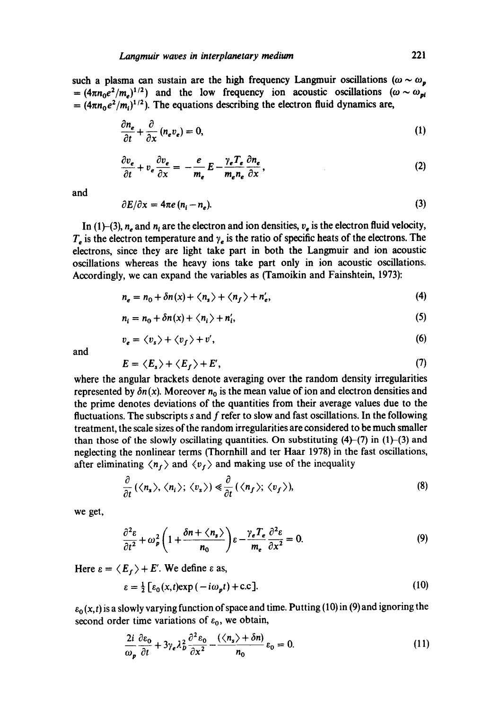such a plasma can sustain are the high frequency Langmuir oscillations ( $\omega \sim \omega_p$ )  $=(4\pi n_0e^2/m_e)^{1/2}$  and the low frequency ion acoustic oscillations ( $\omega \sim \omega_{pi}$ )  $=(4\pi n_0e^2/m_i)^{1/2}$ . The equations describing the electron fluid dynamics are,

$$
\frac{\partial n_e}{\partial t} + \frac{\partial}{\partial x} (n_e v_e) = 0, \tag{1}
$$

$$
\frac{\partial v_e}{\partial t} + v_e \frac{\partial v_e}{\partial x} = -\frac{e}{m_e} E - \frac{\gamma_e T_e}{m_e n_e} \frac{\partial n_e}{\partial x},\tag{2}
$$

and

$$
\partial E/\partial x = 4\pi e (n_i - n_e). \tag{3}
$$

In (1)-(3),  $n_a$  and  $n_t$  are the electron and ion densities,  $v_a$  is the electron fluid velocity,  $T<sub>e</sub>$  is the electron temperature and  $\gamma<sub>e</sub>$  is the ratio of specific heats of the electrons. The electrons, since they are light take part in both the Langmuir and ion acoustic oscillations whereas the heavy ions take part only in ion acoustic oscillations. Accordingly, we can expand the variables as (Tamoikin and Fainshtein, 1973):

$$
n_e = n_0 + \delta n(x) + \langle n_s \rangle + \langle n_f \rangle + n'_e, \tag{4}
$$

$$
n_i = n_0 + \delta n(x) + \langle n_i \rangle + n'_i,\tag{5}
$$

$$
v_e = \langle v_s \rangle + \langle v_f \rangle + v',\tag{6}
$$

and

$$
E = \langle E_s \rangle + \langle E_f \rangle + E', \tag{7}
$$

where the angular brackets denote averaging over the random density irregularities represented by  $\delta n(x)$ . Moreover  $n_0$  is the mean value of ion and electron densities and the prime denotes deviations of the quantities from their average values due to the fluctuations. The subscripts  $s$  and  $f$  refer to slow and fast oscillations. In the following treatment, the scale sizes of the random irregularities are considered to be much smaller than those of the slowly oscillating quantities. On substituting  $(4)-(7)$  in  $(1)-(3)$  and neglecting the nonlinear terms (Thornhill and ter Haar 1978) in the fast oscillations, after eliminating  $\langle n_f \rangle$  and  $\langle v_f \rangle$  and making use of the inequality

$$
\frac{\partial}{\partial t} (\langle n_s \rangle, \langle n_i \rangle; \langle v_s \rangle) \ll \frac{\partial}{\partial t} (\langle n_f \rangle; \langle v_f \rangle), \tag{8}
$$

we get,

$$
\frac{\partial^2 \varepsilon}{\partial t^2} + \omega_p^2 \left( 1 + \frac{\delta n + \langle n_s \rangle}{n_0} \right) \varepsilon - \frac{\gamma_e T_e}{m_e} \frac{\partial^2 \varepsilon}{\partial x^2} = 0. \tag{9}
$$

Here  $\varepsilon = \langle E_r \rangle + E'$ . We define  $\varepsilon$  as,

$$
\varepsilon = \frac{1}{2} \left[ \varepsilon_0(x, t) \exp(-i\omega_p t) + \text{c.c} \right]. \tag{10}
$$

 $\varepsilon_0(x,t)$  is a slowly varying function of space and time. Putting (10) in (9) and ignoring the second order time variations of  $\varepsilon_0$ , we obtain,

$$
\frac{2i}{\omega_p} \frac{\partial \varepsilon_0}{\partial t} + 3\gamma_e \lambda_p^2 \frac{\partial^2 \varepsilon_0}{\partial x^2} - \frac{(\langle n_s \rangle + \delta n)}{n_0} \varepsilon_0 = 0. \tag{11}
$$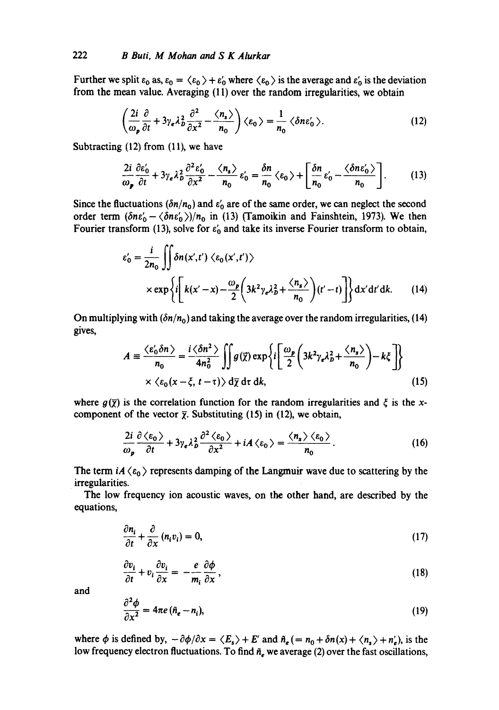Further we split  $\varepsilon_0$  as,  $\varepsilon_0 = \langle \varepsilon_0 \rangle + \varepsilon_0'$  where  $\langle \varepsilon_0 \rangle$  is the average and  $\varepsilon_0'$  is the deviation from the mean value. Averaging (11) over the random irregularities, we obtain

$$
\left(\frac{2i}{\omega_p}\frac{\partial}{\partial t} + 3\gamma_e \lambda_b^2 \frac{\partial^2}{\partial x^2} - \frac{\langle n_s \rangle}{n_0}\right) \langle \varepsilon_0 \rangle = \frac{1}{n_0} \langle \delta n \varepsilon'_0 \rangle.
$$
 (12)

Subtracting (12) from (11), we have

$$
\frac{2i}{\omega_p} \frac{\partial \varepsilon'_0}{\partial t} + 3\gamma_e \lambda_b^2 \frac{\partial^2 \varepsilon'_0}{\partial x^2} - \frac{\langle n_s \rangle}{n_0} \varepsilon'_0 = \frac{\delta n}{n_0} \langle \varepsilon_0 \rangle + \left[ \frac{\delta n}{n_0} \varepsilon'_0 - \frac{\langle \delta n \varepsilon'_0 \rangle}{n_0} \right]. \tag{13}
$$

Since the fluctuations  $(\delta n/n_0)$  and  $\varepsilon'_0$  are of the same order, we can neglect the second order term  $(\delta n \varepsilon'_0 - \langle \delta n \varepsilon'_0 \rangle)/n_0$  in (13) (Tamoikin and Fainshtein, 1973). We then Fourier transform (13), solve for  $\varepsilon'_{0}$  and take its inverse Fourier transform to obtain,

$$
\varepsilon'_{0} = \frac{i}{2n_{0}} \iint \delta n(x',t') \langle \varepsilon_{0}(x',t') \rangle
$$
  
 
$$
\times \exp \left\{ i \left[ k(x'-x) - \frac{\omega_{p}}{2} \left( 3k^{2} \gamma_{e} \lambda_{b}^{2} + \frac{\langle n_{s} \rangle}{n_{0}} \right) (t'-t) \right] \right\} dx'dt'dk.
$$
 (14)

On multiplying with  $(\delta n/n_0)$  and taking the average over the random irregularities, (14) gives,

$$
A = \frac{\langle \varepsilon_0' \delta n \rangle}{n_0} = \frac{i \langle \delta n^2 \rangle}{4n_0^2} \iint g(\vec{\chi}) \exp\left\{i \left[ \frac{\omega_p}{2} \left( 3k^2 \gamma_e \lambda_p^2 + \frac{\langle n_s \rangle}{n_0} \right) - k \xi \right] \right\}
$$
  
×  $\langle \varepsilon_0 (x - \xi, t - \tau) \rangle d\overline{\chi} d\tau dk$ , (15)

where  $g(\bar{\chi})$  is the correlation function for the random irregularities and  $\xi$  is the xcomponent of the vector  $\bar{\chi}$ . Substituting (15) in (12), we obtain,

$$
\frac{2i}{\omega_p} \frac{\partial \langle \epsilon_0 \rangle}{\partial t} + 3\gamma_e \lambda_b^2 \frac{\partial^2 \langle \epsilon_0 \rangle}{\partial x^2} + iA \langle \epsilon_0 \rangle = \frac{\langle n_s \rangle \langle \epsilon_0 \rangle}{n_0}.
$$
 (16)

The term  $iA \langle \varepsilon_0 \rangle$  represents damping of the Langmuir wave due to scattering by the irregularities.

The low frequency ion acoustic waves, on the other hand, are described by the equations,

$$
\frac{\partial n_i}{\partial t} + \frac{\partial}{\partial x} (n_i v_i) = 0, \tag{17}
$$

$$
\frac{\partial v_i}{\partial t} + v_i \frac{\partial v_i}{\partial x} = -\frac{e}{m_i} \frac{\partial \phi}{\partial x},\tag{18}
$$

and

$$
\frac{\partial^2 \phi}{\partial x^2} = 4\pi e (\tilde{n}_e - n_i),\tag{19}
$$

where  $\phi$  is defined by,  $-\partial \phi/\partial x = \langle E_s \rangle + E'$  and  $\tilde{n}_e (= n_0 + \delta n(x) + \langle n_s \rangle + n'_e)$ , is the low frequency electron fluctuations. To find  $\tilde{n}_{e}$  we average (2) over the fast oscillations,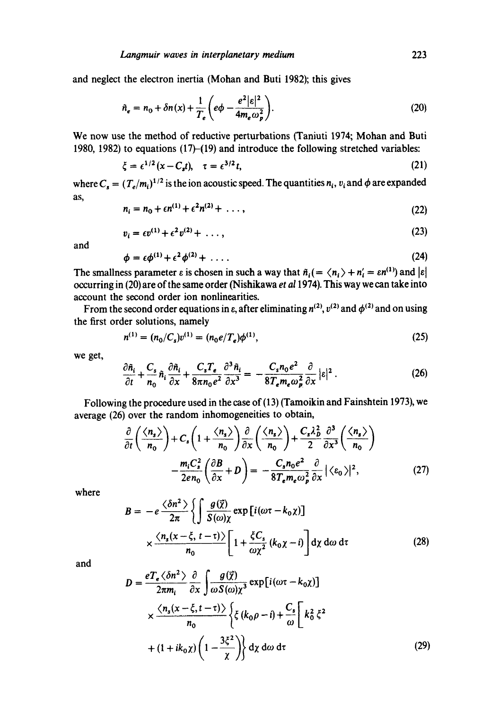and neglect the electron inertia (Mohan and Buti 1982); this gives

$$
\hat{n}_e = n_0 + \delta n(x) + \frac{1}{T_e} \left( e\phi - \frac{e^2 |\varepsilon|^2}{4m_e \omega_p^2} \right).
$$
 (20)

We now use the method of reductive perturbations (Taniuti 1974; Mohan and Buti 1980, 1982) to equations (17)-(19) and introduce the following stretched variables:

$$
\xi = \epsilon^{1/2} (x - C_s t), \quad \tau = \epsilon^{3/2} t,
$$
\n(21)

where  $C_s = (T_e/m_i)^{1/2}$  is the ion acoustic speed. The quantities  $n_i$ ,  $v_i$  and  $\phi$  are expanded as, **Sales** 

$$
n_i = n_0 + \epsilon n^{(1)} + \epsilon^2 n^{(2)} + \ldots, \qquad (22)
$$

$$
v_i = \epsilon v^{(1)} + \epsilon^2 v^{(2)} + \dots,
$$
 (23)

and

$$
\phi = \epsilon \phi^{(1)} + \epsilon^2 \phi^{(2)} + \dots \tag{24}
$$

The smallness parameter  $\varepsilon$  is chosen in such a way that  $\tilde{n}_i = \langle n_i \rangle + n'_i = \varepsilon n^{(1)}$  and  $|\varepsilon|$ occurring in (20) are of the same order (Nishikawa *et a11974).* This way we can take into account the second order ion nonlinearities.

From the second order equations in  $\varepsilon$ , after eliminating  $n^{(2)}$ ,  $v^{(2)}$  and  $\phi^{(2)}$  and on using the first order solutions, namely

$$
n^{(1)} = (n_0/C_s)v^{(1)} = (n_0e/T_e)\phi^{(1)},
$$
\n(25)

we get,

$$
\frac{\partial \tilde{n}_i}{\partial t} + \frac{C_s}{n_0} \tilde{n}_i \frac{\partial \tilde{n}_i}{\partial x} + \frac{C_s T_e}{8 \pi n_0 e^2} \frac{\partial^3 \tilde{n}_i}{\partial x^3} = -\frac{C_s n_0 e^2}{8 T_e m_e \omega_p^2} \frac{\partial}{\partial x} |\varepsilon|^2.
$$
 (26)

Following the procedure used in the case of (13) (Tamoikin and Fainshtein 1973), we average (26) over the random inhomogeneities to obtain,

$$
\frac{\partial}{\partial t} \left( \frac{\langle n_s \rangle}{n_0} \right) + C_s \left( 1 + \frac{\langle n_s \rangle}{n_0} \right) \frac{\partial}{\partial x} \left( \frac{\langle n_s \rangle}{n_0} \right) + \frac{C_s \lambda_B^2}{2} \frac{\partial^3}{\partial x^3} \left( \frac{\langle n_s \rangle}{n_0} \right) \n- \frac{m_i C_s^2}{2e n_0} \left( \frac{\partial B}{\partial x} + D \right) = - \frac{C_s n_0 e^2}{8T_e m_e \omega_p^2} \frac{\partial}{\partial x} | \langle \varepsilon_0 \rangle |^2,
$$
\n(27)

where

$$
B = -e \frac{\langle \delta n^2 \rangle}{2\pi} \left\{ \int \frac{g(\vec{\chi})}{S(\omega)\chi} \exp\left[i(\omega\tau - k_0\chi)\right] \right\}
$$

$$
\times \frac{\langle n_s(x-\xi, t-\tau) \rangle}{n_0} \left[ 1 + \frac{\xi C_s}{\omega \chi^2} (k_0\chi - i) \right] dy d\omega d\tau \tag{28}
$$

and

$$
D = \frac{eT_e \langle \delta n^2 \rangle}{2\pi m_i} \frac{\partial}{\partial x} \int \frac{g(\vec{\chi})}{\omega S(\omega) \chi^3} \exp[i(\omega \tau - k_0 \chi)]
$$
  
 
$$
\times \frac{\langle n_s(x - \xi, t - \tau) \rangle}{n_0} \left\{ \xi (k_0 \rho - i) + \frac{C_s}{\omega} \left[ k_0^2 \xi^2 + (1 + ik_0 \chi) \left( 1 - \frac{3\xi^2}{\chi} \right) \right] dy d\omega d\tau \right\}
$$
(29)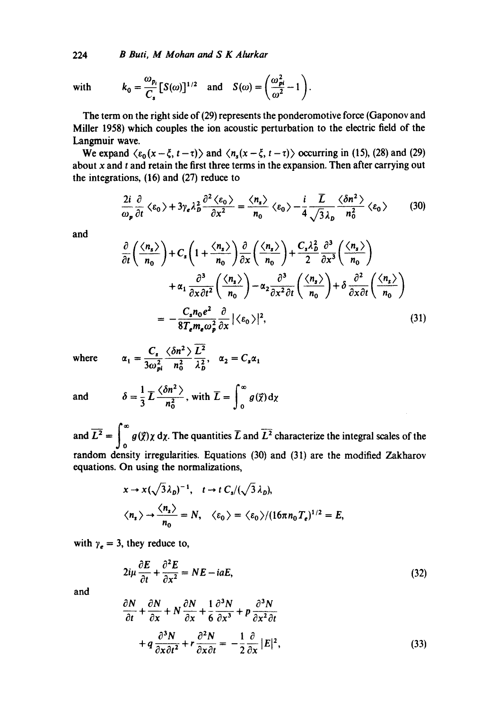224 *B Buti, M Mohan and S K Alurkar* 

with 
$$
k_0 = \frac{\omega_{p_i}}{C_s} [S(\omega)]^{1/2}
$$
 and  $S(\omega) = \left(\frac{\omega_{pi}^2}{\omega^2} - 1\right)$ .

The term on the right side of (29) represents the ponderomotive force (Gaponov and Miller 1958) which couples the ion acoustic perturbation to the electric field of the Langmuir wave.

We expand  $\langle \varepsilon_0(x-\xi, t-\tau) \rangle$  and  $\langle n_s(x-\xi, t-\tau) \rangle$  occurring in (15), (28) and (29) about  $x$  and  $t$  and retain the first three terms in the expansion. Then after carrying out the integrations, (16) and (27) reduce to

$$
\frac{2i}{\omega_p} \frac{\partial}{\partial t} \langle \varepsilon_0 \rangle + 3\gamma_e \lambda_b^2 \frac{\partial^2 \langle \varepsilon_0 \rangle}{\partial x^2} = \frac{\langle n_s \rangle}{n_0} \langle \varepsilon_0 \rangle - \frac{i}{4} \frac{\overline{L}}{\sqrt{3} \lambda_b} \frac{\langle \delta n^2 \rangle}{n_0^2} \langle \varepsilon_0 \rangle \tag{30}
$$

and

$$
\frac{\partial}{\partial t} \left( \frac{\langle n_s \rangle}{n_0} \right) + C_s \left( 1 + \frac{\langle n_s \rangle}{n_0} \right) \frac{\partial}{\partial x} \left( \frac{\langle n_s \rangle}{n_0} \right) + \frac{C_s \lambda_b^2}{2} \frac{\partial^3}{\partial x^3} \left( \frac{\langle n_s \rangle}{n_0} \right) \n+ \alpha_1 \frac{\partial^3}{\partial x \partial t^2} \left( \frac{\langle n_s \rangle}{n_0} \right) - \alpha_2 \frac{\partial^3}{\partial x^2 \partial t} \left( \frac{\langle n_s \rangle}{n_0} \right) + \delta \frac{\partial^2}{\partial x \partial t} \left( \frac{\langle n_s \rangle}{n_0} \right) \n= -\frac{C_s n_0 e^2}{8T_e m_e \omega_p^2} \frac{\partial}{\partial x} | \langle \varepsilon_0 \rangle |^2,
$$
\n(31)

where

$$
\alpha_1 = \frac{C_s}{3\omega_{pi}^2} \frac{\langle \delta n^2 \rangle}{n_0^2} \frac{\overline{L}^2}{\lambda_b^2}, \quad \alpha_2 = C_s \alpha
$$

and 
$$
\delta = \frac{1}{3} \overline{L} \frac{\langle \delta n^2 \rangle}{n_0^2}
$$
, with  $\overline{L} = \int_0^\infty g(\vec{\chi}) d\chi$ 

and  $L^2 = \int_0^a g(\vec{x}) \chi \, d\chi$ . The quantities L and  $L^2$  characterize the integral scales of the random density irregularities. Equations (30) and (31) are the modified Zakharov equations. On using the normalizations,

$$
x \to x(\sqrt{3}\lambda_D)^{-1}, \quad t \to t \ C_s/(\sqrt{3}\lambda_D),
$$
  

$$
\langle n_s \rangle \to \frac{\langle n_s \rangle}{n_0} = N, \quad \langle \varepsilon_0 \rangle = \langle \varepsilon_0 \rangle / (16\pi n_0 T_e)^{1/2} = E,
$$

with  $\gamma_e = 3$ , they reduce to,

$$
2i\mu \frac{\partial E}{\partial t} + \frac{\partial^2 E}{\partial x^2} = NE - i aE,
$$
\n(32)

and

$$
\frac{\partial N}{\partial t} + \frac{\partial N}{\partial x} + N \frac{\partial N}{\partial x} + \frac{1}{6} \frac{\partial^3 N}{\partial x^3} + p \frac{\partial^3 N}{\partial x^2 \partial t} \n+ q \frac{\partial^3 N}{\partial x \partial t^2} + r \frac{\partial^2 N}{\partial x \partial t} = -\frac{1}{2} \frac{\partial}{\partial x} |E|^2,
$$
\n(33)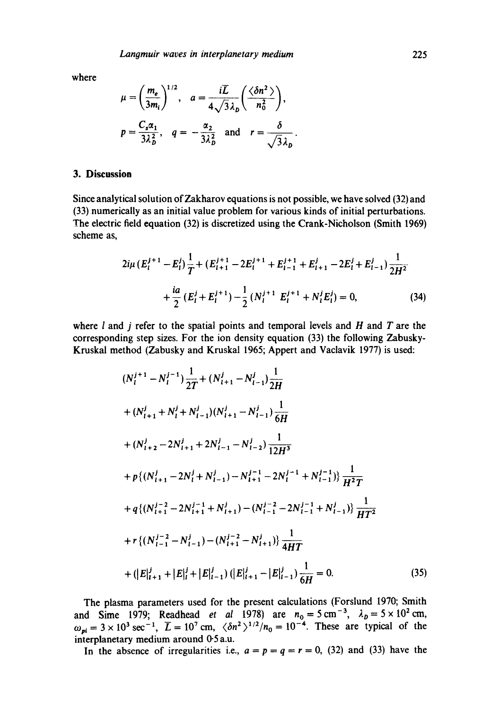where

$$
\mu = \left(\frac{m_e}{3m_i}\right)^{1/2}, \quad a = \frac{i\overline{L}}{4\sqrt{3}\lambda_D} \left(\frac{\langle \delta n^2 \rangle}{n_0^2}\right),
$$
  

$$
p = \frac{C_s \alpha_1}{3\lambda_D^2}, \quad q = -\frac{\alpha_2}{3\lambda_D^2} \quad \text{and} \quad r = \frac{\delta}{\sqrt{3}\lambda_D}.
$$

# **3. Discussion**

Since analytical solution of Zakharov equations is not possible, we have solved (32) and (33) numerically as an initial value problem for various kinds of initial perturbations. The electric field equation (32) is discretized using the Crank-Nicholson (Smith 1969) scheme as,

$$
2i\mu (E_i^{j+1} - E_i^j) \frac{1}{T} + (E_{i+1}^{j+1} - 2E_i^{j+1} + E_{i-1}^{j+1} + E_{i+1}^j - 2E_i^j + E_{i-1}^j) \frac{1}{2H^2} + \frac{ia}{2} (E_i^j + E_i^{j+1}) - \frac{1}{2} (N_i^{j+1} E_i^{j+1} + N_i^j E_i^j) = 0,
$$
 (34)

where  $l$  and  $j$  refer to the spatial points and temporal levels and  $H$  and  $T$  are the corresponding step sizes. For the ion density equation (33) the following Zabusky-Kruskal method (Zabusky and Kruskal 1965; Appert and Vaclavik 1977) is used:

$$
(N_{l}^{j+1} - N_{l}^{j-1}) \frac{1}{2T} + (N_{l+1}^{j} - N_{l-1}^{j}) \frac{1}{2H}
$$
  
+ 
$$
(N_{l+1}^{j} + N_{l}^{j} + N_{l-1}^{j}) (N_{l+1}^{j} - N_{l-1}^{j}) \frac{1}{6H}
$$
  
+ 
$$
(N_{l+2}^{j} - 2N_{l+1}^{j} + 2N_{l-1}^{j} - N_{l-2}^{j}) \frac{1}{12H^{3}}
$$
  
+ 
$$
p\{(N_{l+1}^{j} - 2N_{l}^{j} + N_{l-1}^{j}) - N_{l+1}^{j-1} - 2N_{l}^{j-1} + N_{l-1}^{j-1}\}\frac{1}{H^{2}T}
$$
  
+ 
$$
q\{(N_{l+1}^{j-2} - 2N_{l+1}^{j-1} + N_{l+1}^{j}) - (N_{l-1}^{j-2} - 2N_{l-1}^{j-1} + N_{l-1}^{j})\}\frac{1}{HT^{2}}
$$
  
+ 
$$
r\{(N_{l-1}^{j-2} - N_{l-1}^{j}) - (N_{l+1}^{j-2} - N_{l+1}^{j})\}\frac{1}{4HT}
$$
  
+ 
$$
(|E|_{l+1}^{j} + |E|_{l}^{j} + |E|_{l-1}^{j}) (|E|_{l+1}^{j} - |E|_{l-1}^{j})\frac{1}{6H} = 0.
$$
 (35)

The plasma parameters used for the present calculations (Forslund 1970; Smith and Sime 1979; Readhead *et al* 1978) are  $n_0 = 5 \text{ cm}^{-3}$ ,  $\lambda_p = 5 \times 10^2 \text{ cm}$ ,  $\omega_{\text{min}} = 3 \times 10^3 \text{ sec}^{-1}$ ,  $\bar{L} = 10^7 \text{ cm}$ ,  $\langle \delta n^2 \rangle^{1/2} / n_0 = 10^{-4}$ . These are typical of the interplanetary medium around 0-5 a.u.

In the absence of irregularities i.e.,  $a = p = q = r = 0$ , (32) and (33) have the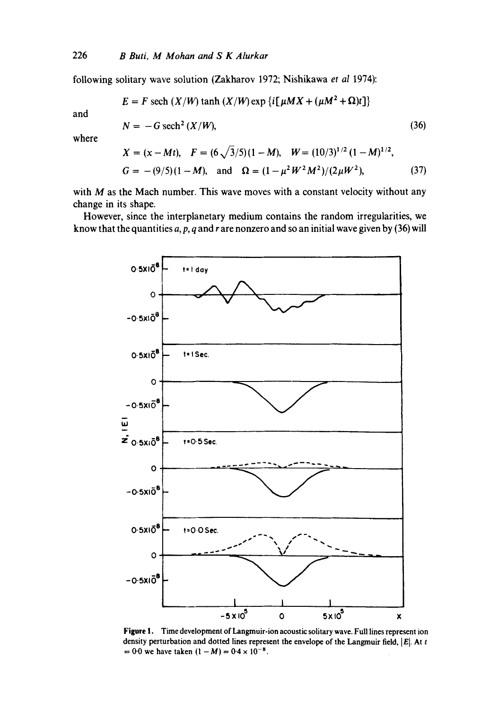following solitary wave solution (Zakharov 1972; Nishikawa *et al* 1974):

$$
E = F \text{ sech } (X/W) \tanh (X/W) \exp \{i[\mu MX + (\mu M^2 + \Omega)t]\}
$$

and

$$
N = -G \operatorname{sech}^2\left(\frac{X}{W}\right),\tag{36}
$$

where

$$
X = (x - Mt), \quad F = (6\sqrt{3}/5)(1 - M), \quad W = (10/3)^{1/2} (1 - M)^{1/2},
$$
  
\n
$$
G = -(9/5)(1 - M), \quad \text{and} \quad \Omega = (1 - \mu^2 W^2 M^2)/(2\mu W^2), \tag{37}
$$

**with M as the Mach number. This wave moves with a constant velocity without any change in its shape.** 

**However, since the interplanetary medium contains the random irregularities, we know that the quantities a, p, q and r are nonzero and so an initial wave given by (36) will** 



**Figure 1.** Time development of Langmuir-ion acoustic solitary wave. Full lines represent ion density perturbation and dotted lines represent the envelope of the Langmuir field,  $|E|$ . At t  $= 0.0$  we have taken  $(1 - M) = 0.4 \times 10^{-8}$ .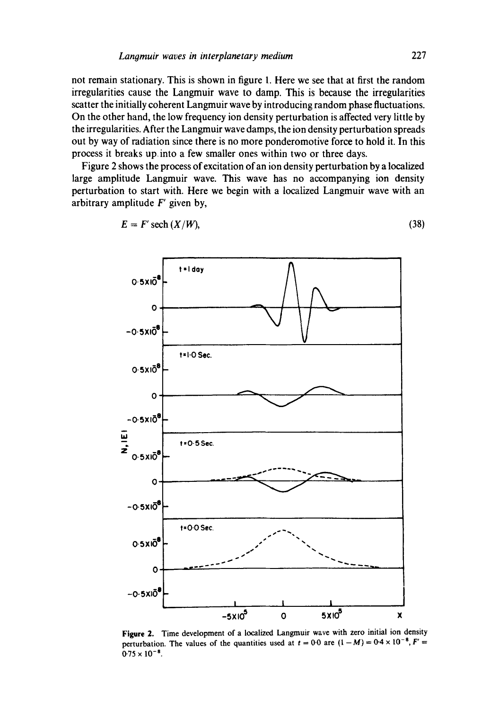not remain stationary. This is shown in figure 1. Here we see that at first the random irregularities cause the Langmuir wave to damp. This is because the irregularities scatter the initially coherent Langmuir wave by introducing random phase fluctuations. On the other hand, the low frequency ion density perturbation is affected very little by the irregularities. After the Langmuir wave damps, the ion density perturbation spreads out by way of radiation since there is no more ponderomotive force to hold it. In this process it breaks up into a few smaller ones within two or three days.

Figure 2 shows the process of excitation of an ion density perturbation by a localized large amplitude Langmuir wave. This wave has no accompanying ion density perturbation to start with. Here we begin with a localized Langmuir wave with an arbitrary amplitude  $F'$  given by,



$$
E = F' \operatorname{sech} (X/W), \tag{38}
$$

**Figure** 2. Time development of a localized Langmuir wave with zero initial ion density perturbation. The values of the quantities used at  $t = 0.0$  are  $(1 - M) = 0.4 \times 10^{-8}$ ,  $F' =$  $0.75 \times 10^{-8}$ .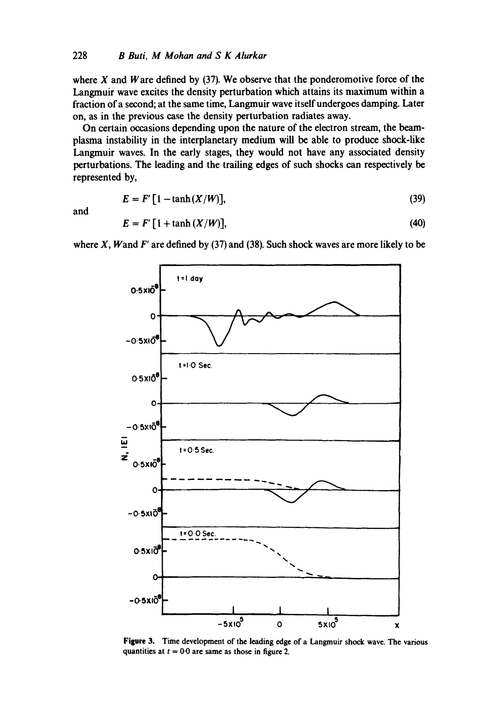where  $X$  and  $W$  are defined by (37). We observe that the ponderomotive force of the Langmuir wave excites the density perturbation which attains its maximum within a fraction of a second; at the same time, Langmuir wave itself undergoes damping. Later on, as in the previous case the density perturbation radiates away.

On certain occasions depending upon the nature of the electron stream, the beamplasma instability in the interplanetary medium will be able to produce shock-like Langmuir waves. In the early stages, they would not have any associated density perturbations. The leading and the trailing edges of such shocks can respectively be represented by,

$$
E = F'[1 - \tanh(X/W)], \tag{39}
$$

and

$$
E = F' [1 + \tanh (X/W)], \qquad (40)
$$

where  $X$ , Wand  $F'$  are defined by (37) and (38). Such shock waves are more likely to be



**Figure** 3. Time development of the leading edge of a Langmuir shock wave. The various quantities at  $t = 0.0$  are same as those in figure 2.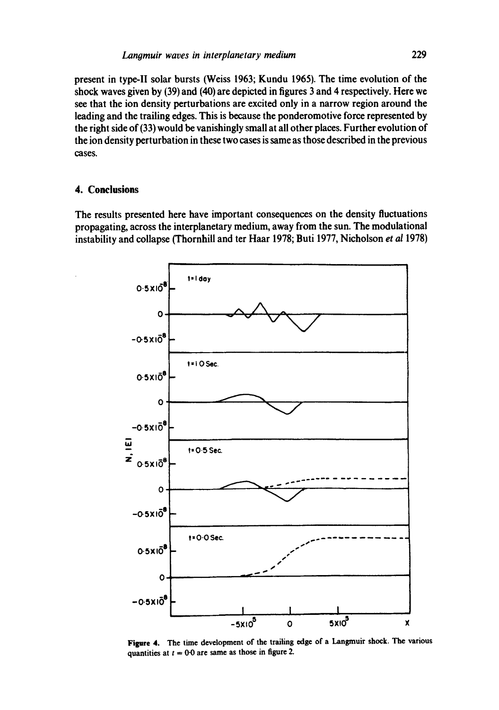present in type-II solar bursts (Weiss 1963; Kundu 1965). The time evolution of the shock waves given by (39) and (40) are depicted in figures 3 and 4 respectively. Here we see that the ion density perturbations are excited only in a narrow region around the leading and the trailing edges. This is because the ponderomotive force represented by the right side of (33) would be vanishingly small at all other places. Further evolution of the ion density perturbation in these two cases is same as those described in the previous cases.

### **4. Conclusions**

**The results presented here have important consequences on the density fluctuations propagating, across the interplanetary medium, away from the sun. The modulational instability and collapse (Thornhill and ter Haar 1978; Buti 1977, Nicholson** *et al* **1978)** 



**Figure** 4. The time development of the trailing edge of a Langmuir shock. The various quantities at  $t = 0.0$  are same as those in figure 2.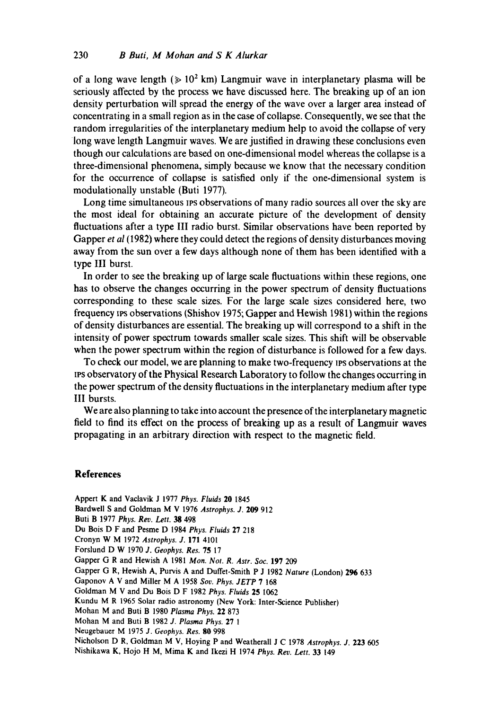of a long wave length ( $\geq 10^2$  km) Langmuir wave in interplanetary plasma will be seriously affected by the process we have discussed here. The breaking up of an ion density perturbation will spread the energy of the wave over a larger area instead of concentrating in a small region as in the case of collapse. Consequently, we see that the random irregularities of the interplanetary medium help to avoid the collapse of very long wave length Langmuir waves. We are justified in drawing these conclusions even though our calculations are based on one-dimensional model whereas the collapse is a three-dimensional phenomena, simply because we know that the necessary condition for the occurrence of collapse is satisfied only if the one-dimensional system is modulationally unstable (Buti 1977).

Long time simultaneous IPS observations of many radio sources all over the sky are the most ideal for obtaining an accurate picture of the development of density fluctuations after a type III radio burst. Similar observations have been reported by Gapper *et al* (1982) where they could detect the regions of density disturbances moving away from the sun over a few days although none of them has been identified with a type III burst.

In order to see the breaking up of large scale fluctuations within these regions, one has to observe the changes occurring in the power spectrum of density fluctuations corresponding to these scale sizes. For the large scale sizes considered here, two frequency ivs observations (Shishov 1975; Gapper and Hewish 1981) within the regions of density disturbances are essential. The breaking up will correspond to a shift in the intensity of power spectrum towards smaller scale sizes. This shift will be observable when the power spectrum within the region of disturbance is followed for a few days.

To check our model, we are planning to make two-frequency ips observations at the IPS observatory of the Physical Research Laboratory to follow the changes occurring in the power spectrum of the density fluctuations in the interplanetary medium after type III bursts.

We are also planning to take into account the presence of the interplanetary magnetic field to find its effect on the process of breaking up as a result of Langmuir waves propagating in an arbitrary direction with respect to the magnetic field.

# **References**

Appert K and Vaclavik J 1977 *Phys. Fluids* 20 1845 Bardwell S and Goldman M V 1976 Astrophys. J. 209 912 Buti B 1977 *Phys. Rev. Lett. 38* 498 Du Bois D F and Pesme D 1984 *Phys. Fluids* 27 218 Cronyn W M 1972 *Astrophys. J.* 171 4101 Forslund D W 1970 *J. Geophys. Res.* 75 17 Gapper G R and Hewish A 1981 *Mort. Not. R. Astr. Soc.* 197 209 Gapper G R, Hewish A, Purvis A and Duffet-Smith P J 1982 *Nature* (London) 296 633 Gaponov A V and Miller M A 1958 *Soy. Phys. JETP* 7 168 Goldman M V and Du Bois D F 1982 *Phys. Fluids* 25 1062 Kundu M R 1965 Solar radio astronomy (New York: Inter-Science Publisher) Mohan M and Buti B 1980 *Plasma Phys.* 22 873 Mohan M and Buti B 1982 *J. Plasma Phys.* 27 1 Neugebauer M 1975 *J. Geophys. Res.* 80 998 Nicholson D R, Goldman M V, Hoying P and Weatherall J C 1978 *Astrophys. J.* 223 605 Nishikawa K, Hojo H M, Mima K and Ikezi H 1974 *Phys. Rev. Lett.* 33 149